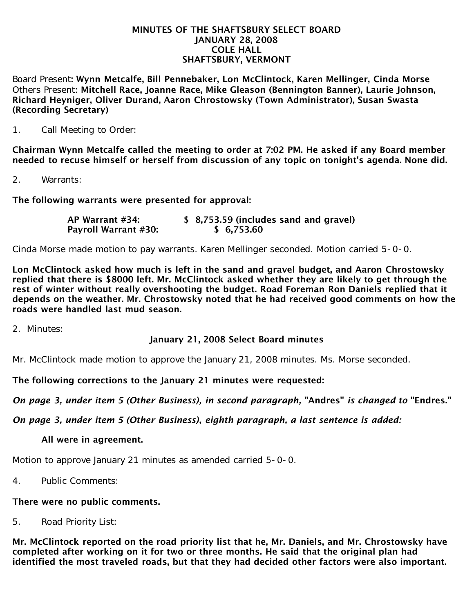#### MINUTES OF THE SHAFTSBURY SELECT BOARD JANUARY 28, 2008 COLE HALL SHAFTSBURY, VERMONT

Board Present: Wynn Metcalfe, Bill Pennebaker, Lon McClintock, Karen Mellinger, Cinda Morse Others Present: Mitchell Race, Joanne Race, Mike Gleason (Bennington Banner), Laurie Johnson, Richard Heyniger, Oliver Durand, Aaron Chrostowsky (Town Administrator), Susan Swasta (Recording Secretary)

1. Call Meeting to Order:

Chairman Wynn Metcalfe called the meeting to order at 7:02 PM. He asked if any Board member needed to recuse himself or herself from discussion of any topic on tonight's agenda. None did.

2. Warrants:

The following warrants were presented for approval:

| AP Warrant #34:             | \$ 8,753.59 (includes sand and gravel) |
|-----------------------------|----------------------------------------|
| <b>Payroll Warrant #30:</b> | \$6,753.60                             |

Cinda Morse made motion to pay warrants. Karen Mellinger seconded. Motion carried 5-0-0.

Lon McClintock asked how much is left in the sand and gravel budget, and Aaron Chrostowsky replied that there is \$8000 left. Mr. McClintock asked whether they are likely to get through the rest of winter without really overshooting the budget. Road Foreman Ron Daniels replied that it depends on the weather. Mr. Chrostowsky noted that he had received good comments on how the roads were handled last mud season.

2. Minutes:

# January 21, 2008 Select Board minutes

Mr. McClintock made motion to approve the January 21, 2008 minutes. Ms. Morse seconded.

The following corrections to the January 21 minutes were requested:

*On page 3, under item 5 (Other Business), in second paragraph,* "Andres" *is changed to* "Endres."

*On page 3, under item 5 (Other Business), eighth paragraph, a last sentence is added:*

### All were in agreement.

Motion to approve January 21 minutes as amended carried 5-0-0.

4. Public Comments:

### There were no public comments.

5. Road Priority List:

Mr. McClintock reported on the road priority list that he, Mr. Daniels, and Mr. Chrostowsky have completed after working on it for two or three months. He said that the original plan had identified the most traveled roads, but that they had decided other factors were also important.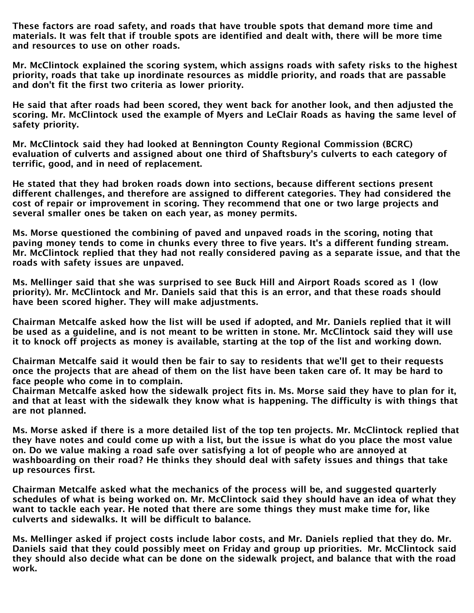These factors are road safety, and roads that have trouble spots that demand more time and materials. It was felt that if trouble spots are identified and dealt with, there will be more time and resources to use on other roads.

Mr. McClintock explained the scoring system, which assigns roads with safety risks to the highest priority, roads that take up inordinate resources as middle priority, and roads that are passable and don't fit the first two criteria as lower priority.

He said that after roads had been scored, they went back for another look, and then adjusted the scoring. Mr. McClintock used the example of Myers and LeClair Roads as having the same level of safety priority.

Mr. McClintock said they had looked at Bennington County Regional Commission (BCRC) evaluation of culverts and assigned about one third of Shaftsbury's culverts to each category of terrific, good, and in need of replacement.

He stated that they had broken roads down into sections, because different sections present different challenges, and therefore are assigned to different categories. They had considered the cost of repair or improvement in scoring. They recommend that one or two large projects and several smaller ones be taken on each year, as money permits.

Ms. Morse questioned the combining of paved and unpaved roads in the scoring, noting that paving money tends to come in chunks every three to five years. It's a different funding stream. Mr. McClintock replied that they had not really considered paving as a separate issue, and that the roads with safety issues are unpaved.

Ms. Mellinger said that she was surprised to see Buck Hill and Airport Roads scored as 1 (low priority). Mr. McClintock and Mr. Daniels said that this is an error, and that these roads should have been scored higher. They will make adjustments.

Chairman Metcalfe asked how the list will be used if adopted, and Mr. Daniels replied that it will be used as a guideline, and is not meant to be written in stone. Mr. McClintock said they will use it to knock off projects as money is available, starting at the top of the list and working down.

Chairman Metcalfe said it would then be fair to say to residents that we'll get to their requests once the projects that are ahead of them on the list have been taken care of. It may be hard to face people who come in to complain.

Chairman Metcalfe asked how the sidewalk project fits in. Ms. Morse said they have to plan for it, and that at least with the sidewalk they know what is happening. The difficulty is with things that are not planned.

Ms. Morse asked if there is a more detailed list of the top ten projects. Mr. McClintock replied that they have notes and could come up with a list, but the issue is what do you place the most value on. Do we value making a road safe over satisfying a lot of people who are annoyed at washboarding on their road? He thinks they should deal with safety issues and things that take up resources first.

Chairman Metcalfe asked what the mechanics of the process will be, and suggested quarterly schedules of what is being worked on. Mr. McClintock said they should have an idea of what they want to tackle each year. He noted that there are some things they must make time for, like culverts and sidewalks. It will be difficult to balance.

Ms. Mellinger asked if project costs include labor costs, and Mr. Daniels replied that they do. Mr. Daniels said that they could possibly meet on Friday and group up priorities. Mr. McClintock said they should also decide what can be done on the sidewalk project, and balance that with the road work.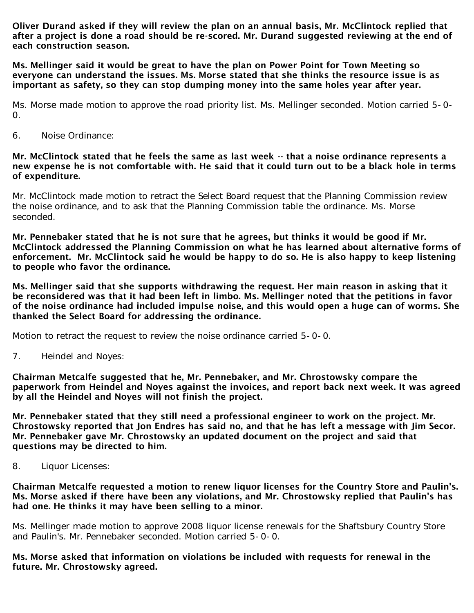Oliver Durand asked if they will review the plan on an annual basis, Mr. McClintock replied that after a project is done a road should be re-scored. Mr. Durand suggested reviewing at the end of each construction season.

Ms. Mellinger said it would be great to have the plan on Power Point for Town Meeting so everyone can understand the issues. Ms. Morse stated that she thinks the resource issue is as important as safety, so they can stop dumping money into the same holes year after year.

Ms. Morse made motion to approve the road priority list. Ms. Mellinger seconded. Motion carried 5-0- 0.

6. Noise Ordinance:

### Mr. McClintock stated that he feels the same as last week -- that a noise ordinance represents a new expense he is not comfortable with. He said that it could turn out to be a black hole in terms of expenditure.

Mr. McClintock made motion to retract the Select Board request that the Planning Commission review the noise ordinance, and to ask that the Planning Commission table the ordinance. Ms. Morse seconded.

Mr. Pennebaker stated that he is not sure that he agrees, but thinks it would be good if Mr. McClintock addressed the Planning Commission on what he has learned about alternative forms of enforcement. Mr. McClintock said he would be happy to do so. He is also happy to keep listening to people who favor the ordinance.

Ms. Mellinger said that she supports withdrawing the request. Her main reason in asking that it be reconsidered was that it had been left in limbo. Ms. Mellinger noted that the petitions in favor of the noise ordinance had included impulse noise, and this would open a huge can of worms. She thanked the Select Board for addressing the ordinance.

Motion to retract the request to review the noise ordinance carried 5-0-0.

7. Heindel and Noyes:

Chairman Metcalfe suggested that he, Mr. Pennebaker, and Mr. Chrostowsky compare the paperwork from Heindel and Noyes against the invoices, and report back next week. It was agreed by all the Heindel and Noyes will not finish the project.

Mr. Pennebaker stated that they still need a professional engineer to work on the project. Mr. Chrostowsky reported that Jon Endres has said no, and that he has left a message with Jim Secor. Mr. Pennebaker gave Mr. Chrostowsky an updated document on the project and said that questions may be directed to him.

8. Liquor Licenses:

Chairman Metcalfe requested a motion to renew liquor licenses for the Country Store and Paulin's. Ms. Morse asked if there have been any violations, and Mr. Chrostowsky replied that Paulin's has had one. He thinks it may have been selling to a minor.

Ms. Mellinger made motion to approve 2008 liquor license renewals for the Shaftsbury Country Store and Paulin's. Mr. Pennebaker seconded. Motion carried 5-0-0.

Ms. Morse asked that information on violations be included with requests for renewal in the future. Mr. Chrostowsky agreed.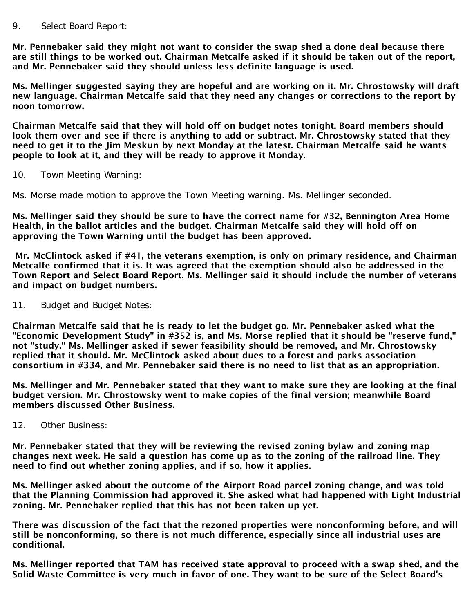### 9. Select Board Report:

Mr. Pennebaker said they might not want to consider the swap shed a done deal because there are still things to be worked out. Chairman Metcalfe asked if it should be taken out of the report, and Mr. Pennebaker said they should unless less definite language is used.

Ms. Mellinger suggested saying they are hopeful and are working on it. Mr. Chrostowsky will draft new language. Chairman Metcalfe said that they need any changes or corrections to the report by noon tomorrow.

Chairman Metcalfe said that they will hold off on budget notes tonight. Board members should look them over and see if there is anything to add or subtract. Mr. Chrostowsky stated that they need to get it to the Jim Meskun by next Monday at the latest. Chairman Metcalfe said he wants people to look at it, and they will be ready to approve it Monday.

10. Town Meeting Warning:

Ms. Morse made motion to approve the Town Meeting warning. Ms. Mellinger seconded.

Ms. Mellinger said they should be sure to have the correct name for #32, Bennington Area Home Health, in the ballot articles and the budget. Chairman Metcalfe said they will hold off on approving the Town Warning until the budget has been approved.

Mr. McClintock asked if #41, the veterans exemption, is only on primary residence, and Chairman Metcalfe confirmed that it is. It was agreed that the exemption should also be addressed in the Town Report and Select Board Report. Ms. Mellinger said it should include the number of veterans and impact on budget numbers.

11. Budget and Budget Notes:

Chairman Metcalfe said that he is ready to let the budget go. Mr. Pennebaker asked what the "Economic Development Study" in #352 is, and Ms. Morse replied that it should be "reserve fund," not "study." Ms. Mellinger asked if sewer feasibility should be removed, and Mr. Chrostowsky replied that it should. Mr. McClintock asked about dues to a forest and parks association consortium in #334, and Mr. Pennebaker said there is no need to list that as an appropriation.

Ms. Mellinger and Mr. Pennebaker stated that they want to make sure they are looking at the final budget version. Mr. Chrostowsky went to make copies of the final version; meanwhile Board members discussed Other Business.

12. Other Business:

Mr. Pennebaker stated that they will be reviewing the revised zoning bylaw and zoning map changes next week. He said a question has come up as to the zoning of the railroad line. They need to find out whether zoning applies, and if so, how it applies.

Ms. Mellinger asked about the outcome of the Airport Road parcel zoning change, and was told that the Planning Commission had approved it. She asked what had happened with Light Industrial zoning. Mr. Pennebaker replied that this has not been taken up yet.

There was discussion of the fact that the rezoned properties were nonconforming before, and will still be nonconforming, so there is not much difference, especially since all industrial uses are conditional.

Ms. Mellinger reported that TAM has received state approval to proceed with a swap shed, and the Solid Waste Committee is very much in favor of one. They want to be sure of the Select Board's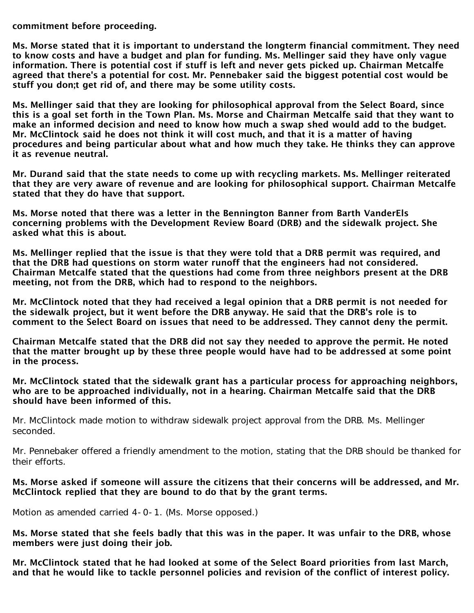commitment before proceeding.

Ms. Morse stated that it is important to understand the longterm financial commitment. They need to know costs and have a budget and plan for funding. Ms. Mellinger said they have only vague information. There is potential cost if stuff is left and never gets picked up. Chairman Metcalfe agreed that there's a potential for cost. Mr. Pennebaker said the biggest potential cost would be stuff you don;t get rid of, and there may be some utility costs.

Ms. Mellinger said that they are looking for philosophical approval from the Select Board, since this is a goal set forth in the Town Plan. Ms. Morse and Chairman Metcalfe said that they want to make an informed decision and need to know how much a swap shed would add to the budget. Mr. McClintock said he does not think it will cost much, and that it is a matter of having procedures and being particular about what and how much they take. He thinks they can approve it as revenue neutral.

Mr. Durand said that the state needs to come up with recycling markets. Ms. Mellinger reiterated that they are very aware of revenue and are looking for philosophical support. Chairman Metcalfe stated that they do have that support.

Ms. Morse noted that there was a letter in the Bennington Banner from Barth VanderEls concerning problems with the Development Review Board (DRB) and the sidewalk project. She asked what this is about.

Ms. Mellinger replied that the issue is that they were told that a DRB permit was required, and that the DRB had questions on storm water runoff that the engineers had not considered. Chairman Metcalfe stated that the questions had come from three neighbors present at the DRB meeting, not from the DRB, which had to respond to the neighbors.

Mr. McClintock noted that they had received a legal opinion that a DRB permit is not needed for the sidewalk project, but it went before the DRB anyway. He said that the DRB's role is to comment to the Select Board on issues that need to be addressed. They cannot deny the permit.

Chairman Metcalfe stated that the DRB did not say they needed to approve the permit. He noted that the matter brought up by these three people would have had to be addressed at some point in the process.

Mr. McClintock stated that the sidewalk grant has a particular process for approaching neighbors, who are to be approached individually, not in a hearing. Chairman Metcalfe said that the DRB should have been informed of this.

Mr. McClintock made motion to withdraw sidewalk project approval from the DRB. Ms. Mellinger seconded.

Mr. Pennebaker offered a friendly amendment to the motion, stating that the DRB should be thanked for their efforts.

## Ms. Morse asked if someone will assure the citizens that their concerns will be addressed, and Mr. McClintock replied that they are bound to do that by the grant terms.

Motion as amended carried 4-0-1. (Ms. Morse opposed.)

Ms. Morse stated that she feels badly that this was in the paper. It was unfair to the DRB, whose members were just doing their job.

Mr. McClintock stated that he had looked at some of the Select Board priorities from last March, and that he would like to tackle personnel policies and revision of the conflict of interest policy.